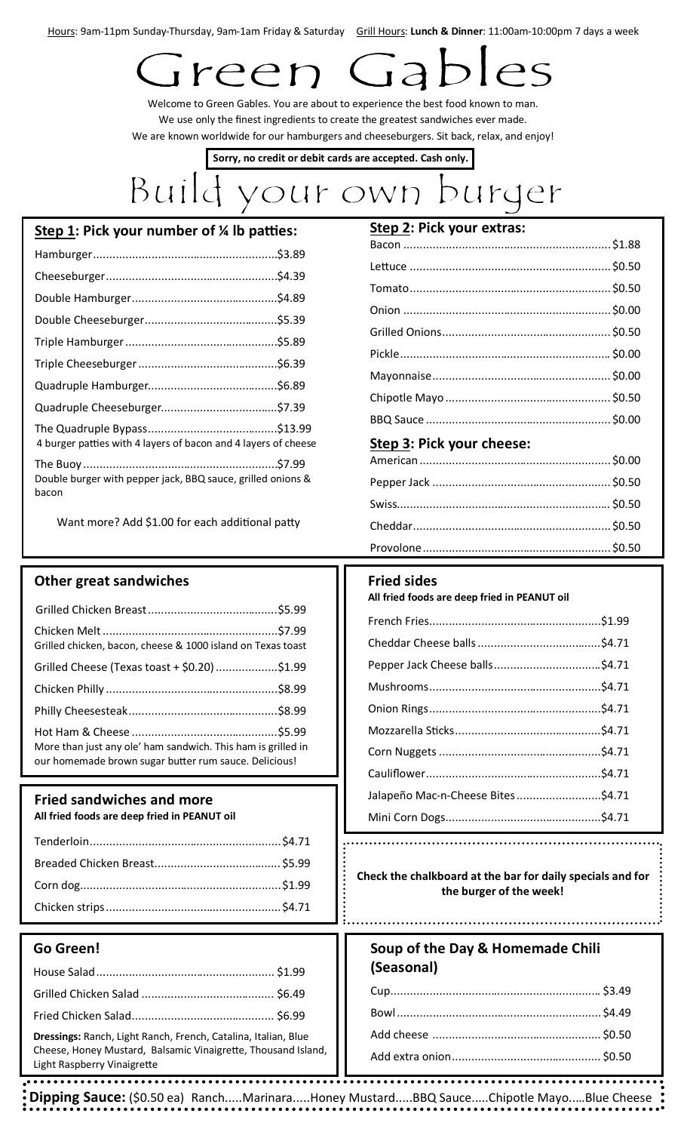Hours: 9am-11pm Sunday-Thursday, 9am-1am Friday & Saturday Grill Hours: Lunch & Dinner: 11:00am-10:00pm 7 days a week

# reer

Welcome to Green Gables. You are about to experience the best food known to man. We use only the finest ingredients to create the greatest sandwiches ever made. We are known worldwide for our hamburgers and cheeseburgers. Sit back, relax, and enjoy!

**Sorry, no credit or debit cards are accepted. Cash only.**

## Build your own burger

| Step 1: Pick your number of % lb patties:                            |  |
|----------------------------------------------------------------------|--|
|                                                                      |  |
|                                                                      |  |
|                                                                      |  |
|                                                                      |  |
|                                                                      |  |
|                                                                      |  |
|                                                                      |  |
|                                                                      |  |
| 4 burger patties with 4 layers of bacon and 4 layers of cheese       |  |
| Double burger with pepper jack, BBQ sauce, grilled onions &<br>bacon |  |

Want more? Add \$1.00 for each additional patty

### **Other great sandwiches**

### **Fried sandwiches and more**

**All fried foods are deep fried in PEANUT oil**

### **Go Green!**

|                                                                                              | (Seasonal) |  |
|----------------------------------------------------------------------------------------------|------------|--|
|                                                                                              |            |  |
|                                                                                              |            |  |
| Dressings: Ranch, Light Ranch, French, Catalina, Italian, Blue                               |            |  |
| Cheese, Honey Mustard, Balsamic Vinaigrette, Thousand Island,<br>Light Raspberry Vinaigrette |            |  |
|                                                                                              |            |  |

| <b>SICH C'HING YOUL CYTIGS'</b> |  |
|---------------------------------|--|
|                                 |  |
|                                 |  |
|                                 |  |
|                                 |  |
|                                 |  |
|                                 |  |
|                                 |  |
|                                 |  |
|                                 |  |
| Step 3: Pick your cheese:       |  |
|                                 |  |
|                                 |  |
|                                 |  |
|                                 |  |
|                                 |  |

### **Fried sides**

**All fried foods are deep fried in PEANUT oil**

| Jalapeño Mac-n-Cheese Bites\$4.71 |  |
|-----------------------------------|--|
|                                   |  |

**Check the chalkboard at the bar for daily specials and for the burger of the week!** 

| Soup of the Day & Homemade Chili |  |
|----------------------------------|--|
| (Seasonal)                       |  |

**Dipping Sauce:** (\$0.50 ea)Ranch.....Marinara.....Honey Mustard.....BBQ Sauce.....Chipotle Mayo..…Blue Cheese